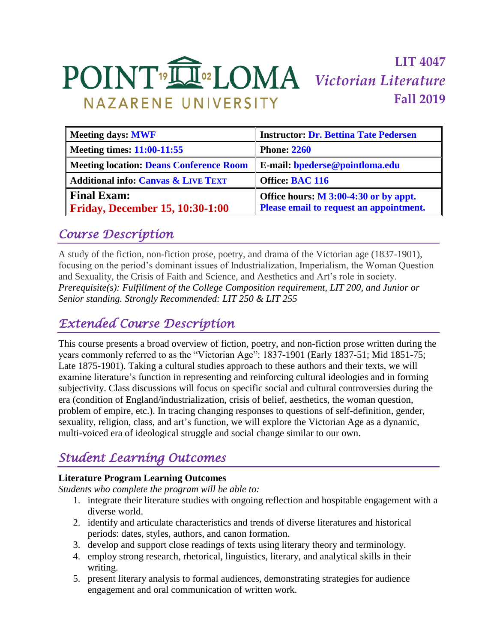# **LIT 4047** *Victorian Literature* **Fall 2019** NAZARENE UNIVERSITY

| <b>Instructor: Dr. Bettina Tate Pedersen</b>                                     |
|----------------------------------------------------------------------------------|
| <b>Phone: 2260</b>                                                               |
| E-mail: bpederse@pointloma.edu                                                   |
| Office: BAC 116                                                                  |
| Office hours: M 3:00-4:30 or by appt.<br>Please email to request an appointment. |
|                                                                                  |

# *Course Description*

A study of the fiction, non-fiction prose, poetry, and drama of the Victorian age (1837-1901), focusing on the period's dominant issues of Industrialization, Imperialism, the Woman Question and Sexuality, the Crisis of Faith and Science, and Aesthetics and Art's role in society. *Prerequisite(s): Fulfillment of the College Composition requirement, LIT 200, and Junior or Senior standing. Strongly Recommended: LIT 250 & LIT 255*

# *Extended Course Description*

This course presents a broad overview of fiction, poetry, and non-fiction prose written during the years commonly referred to as the "Victorian Age": 1837-1901 (Early 1837-51; Mid 1851-75; Late 1875-1901). Taking a cultural studies approach to these authors and their texts, we will examine literature's function in representing and reinforcing cultural ideologies and in forming subjectivity. Class discussions will focus on specific social and cultural controversies during the era (condition of England/industrialization, crisis of belief, aesthetics, the woman question, problem of empire, etc.). In tracing changing responses to questions of self-definition, gender, sexuality, religion, class, and art's function, we will explore the Victorian Age as a dynamic, multi-voiced era of ideological struggle and social change similar to our own.

# *Student Learning Outcomes*

## **Literature Program Learning Outcomes**

*Students who complete the program will be able to:*

- 1. integrate their literature studies with ongoing reflection and hospitable engagement with a diverse world.
- 2. identify and articulate characteristics and trends of diverse literatures and historical periods: dates, styles, authors, and canon formation.
- 3. develop and support close readings of texts using literary theory and terminology.
- 4. employ strong research, rhetorical, linguistics, literary, and analytical skills in their writing.
- 5. present literary analysis to formal audiences, demonstrating strategies for audience engagement and oral communication of written work.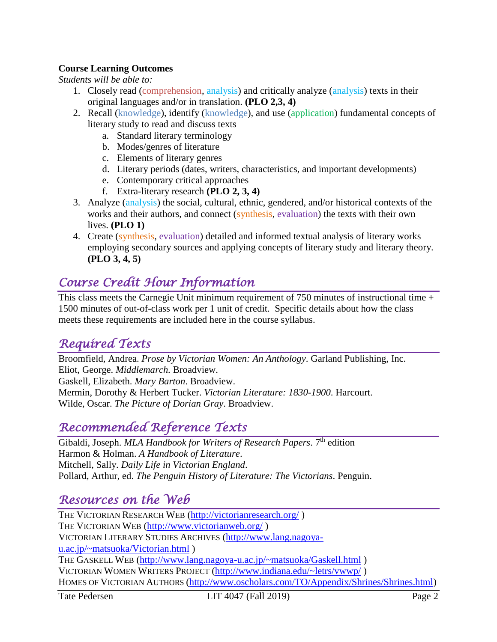## **Course Learning Outcomes**

*Students will be able to:*

- 1. Closely read (comprehension, analysis) and critically analyze (analysis) texts in their original languages and/or in translation. **(PLO 2,3, 4)**
- 2. Recall (knowledge), identify (knowledge), and use (application) fundamental concepts of literary study to read and discuss texts
	- a. Standard literary terminology
	- b. Modes/genres of literature
	- c. Elements of literary genres
	- d. Literary periods (dates, writers, characteristics, and important developments)
	- e. Contemporary critical approaches
	- f. Extra-literary research **(PLO 2, 3, 4)**
- 3. Analyze (analysis) the social, cultural, ethnic, gendered, and/or historical contexts of the works and their authors, and connect (synthesis, evaluation) the texts with their own lives. **(PLO 1)**
- 4. Create (synthesis, evaluation) detailed and informed textual analysis of literary works employing secondary sources and applying concepts of literary study and literary theory. **(PLO 3, 4, 5)**

# *Course Credit Hour Information*

This class meets the Carnegie Unit minimum requirement of 750 minutes of instructional time + 1500 minutes of out-of-class work per 1 unit of credit. Specific details about how the class meets these requirements are included here in the course syllabus.

# *Required Texts*

Broomfield, Andrea. *Prose by Victorian Women: An Anthology*. Garland Publishing, Inc. Eliot, George. *Middlemarch.* Broadview. Gaskell, Elizabeth. *Mary Barton*. Broadview. Mermin, Dorothy & Herbert Tucker. *Victorian Literature: 1830-1900*. Harcourt. Wilde, Oscar. *The Picture of Dorian Gray*. Broadview.

# *Recommended Reference Texts*

Gibaldi, Joseph. *MLA Handbook for Writers of Research Papers*. 7<sup>th</sup> edition Harmon & Holman. *A Handbook of Literature*. Mitchell, Sally. *Daily Life in Victorian England*. Pollard, Arthur, ed. *The Penguin History of Literature: The Victorians*. Penguin.

# *Resources on the Web*

THE VICTORIAN RESEARCH WEB [\(http://victorianresearch.org/](http://victorianresearch.org/) ) THE VICTORIAN WEB [\(http://www.victorianweb.org/](http://www.victorianweb.org/) ) VICTORIAN LITERARY STUDIES ARCHIVES [\(http://www.lang.nagoya](http://www.lang.nagoya-u.ac.jp/~matsuoka/Victorian.html)[u.ac.jp/~matsuoka/Victorian.html](http://www.lang.nagoya-u.ac.jp/~matsuoka/Victorian.html) ) THE GASKELL WEB [\(http://www.lang.nagoya-u.ac.jp/~matsuoka/Gaskell.html](http://www.lang.nagoya-u.ac.jp/~matsuoka/Gaskell.html) ) VICTORIAN WOMEN WRITERS PROJECT [\(http://www.indiana.edu/~letrs/vwwp/](http://www.indiana.edu/~letrs/vwwp/) ) HOMES OF VICTORIAN AUTHORS [\(http://www.oscholars.com/TO/Appendix/Shrines/Shrines.html\)](http://www.oscholars.com/TO/Appendix/Shrines/Shrines.html)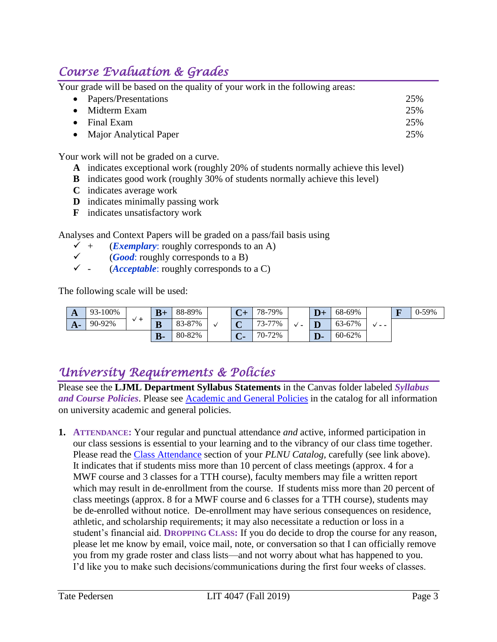# *Course Evaluation & Grades*

Your grade will be based on the quality of your work in the following areas:

| • Papers/Presentations   | 25% |
|--------------------------|-----|
| $\bullet$ Midterm Exam   | 25% |
| $\bullet$ Final Exam     | 25% |
| • Major Analytical Paper | 25% |

Your work will not be graded on a curve.

- **A** indicates exceptional work (roughly 20% of students normally achieve this level)
- **B** indicates good work (roughly 30% of students normally achieve this level)
- **C** indicates average work
- **D** indicates minimally passing work
- **F** indicates unsatisfactory work

Analyses and Context Papers will be graded on a pass/fail basis using

- $\checkmark$  + (*Exemplary*: roughly corresponds to an A)
- $\checkmark$  (*Good*: roughly corresponds to a B)
- $\checkmark$  (*Acceptable*: roughly corresponds to a C)

The following scale will be used:

| A    | 93-100% |  | $B+$                    | 88-89% | $\mathbf{\Omega}$             | 78-79% | $D+$ | 68-69% |       | П | $0-59%$ |
|------|---------|--|-------------------------|--------|-------------------------------|--------|------|--------|-------|---|---------|
| $A-$ | 90-92%  |  | $\overline{\mathbf{B}}$ | 83-87% | ⌒<br>ັ                        | 73-77% |      | 63-67% | v - - |   |         |
|      |         |  | <b>B-</b>               | 80-82% | $\overline{\mathbf{C}}$<br>U- | 70-72% | D-   | 60-62% |       |   |         |

# *University Requirements & Policies*

Please see the **LJML Department Syllabus Statements** in the Canvas folder labeled *Syllabus and Course Policies*. Please see [Academic and General](https://catalog.pointloma.edu/content.php?catoid=28&navoid=1761) Policies in the catalog for all information on university academic and general policies.

**1. ATTENDANCE:** Your regular and punctual attendance *and* active, informed participation in our class sessions is essential to your learning and to the vibrancy of our class time together. Please read the [Class Attendance](https://catalog.pointloma.edu/content.php?catoid=28&navoid=1761#Class_Attendance) section of your *PLNU Catalog,* carefully (see link above). It indicates that if students miss more than 10 percent of class meetings (approx. 4 for a MWF course and 3 classes for a TTH course), faculty members may file a written report which may result in de-enrollment from the course. If students miss more than 20 percent of class meetings (approx. 8 for a MWF course and 6 classes for a TTH course), students may be de-enrolled without notice. De-enrollment may have serious consequences on residence, athletic, and scholarship requirements; it may also necessitate a reduction or loss in a student's financial aid. **DROPPING CLASS:** If you do decide to drop the course for any reason, please let me know by email, voice mail, note, or conversation so that I can officially remove you from my grade roster and class lists—and not worry about what has happened to you. I'd like you to make such decisions/communications during the first four weeks of classes.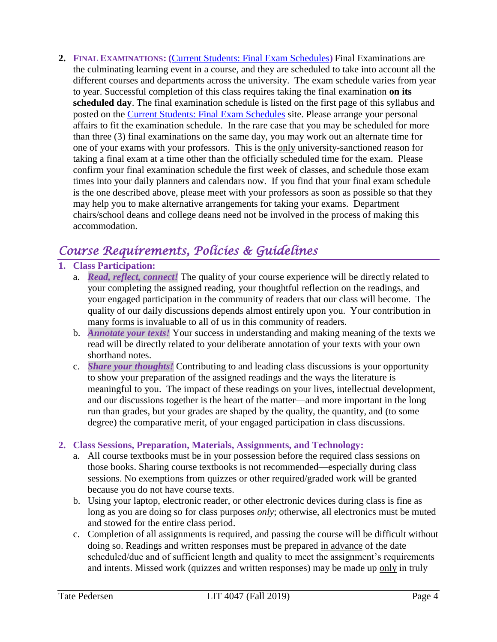**2. FINAL EXAMINATIONS: (**[Current Students: Final Exam Schedules](https://www.pointloma.edu/current-students)**)** Final Examinations are the culminating learning event in a course, and they are scheduled to take into account all the different courses and departments across the university. The exam schedule varies from year to year. Successful completion of this class requires taking the final examination **on its scheduled day**. The final examination schedule is listed on the first page of this syllabus and posted on the **Current [Students: Final Exam Schedules](https://www.pointloma.edu/current-students)** site. Please arrange your personal affairs to fit the examination schedule. In the rare case that you may be scheduled for more than three (3) final examinations on the same day, you may work out an alternate time for one of your exams with your professors. This is the only university-sanctioned reason for taking a final exam at a time other than the officially scheduled time for the exam. Please confirm your final examination schedule the first week of classes, and schedule those exam times into your daily planners and calendars now. If you find that your final exam schedule is the one described above, please meet with your professors as soon as possible so that they may help you to make alternative arrangements for taking your exams. Department chairs/school deans and college deans need not be involved in the process of making this accommodation.

# *Course Requirements, Policies & Guidelines*

## **1. Class Participation:**

- a. *Read, reflect, connect!* The quality of your course experience will be directly related to your completing the assigned reading, your thoughtful reflection on the readings, and your engaged participation in the community of readers that our class will become. The quality of our daily discussions depends almost entirely upon you. Your contribution in many forms is invaluable to all of us in this community of readers.
- b. *Annotate your texts!* Your success in understanding and making meaning of the texts we read will be directly related to your deliberate annotation of your texts with your own shorthand notes.
- c. *Share your thoughts!* Contributing to and leading class discussions is your opportunity to show your preparation of the assigned readings and the ways the literature is meaningful to you. The impact of these readings on your lives, intellectual development, and our discussions together is the heart of the matter—and more important in the long run than grades, but your grades are shaped by the quality, the quantity, and (to some degree) the comparative merit, of your engaged participation in class discussions.

## **2. Class Sessions, Preparation, Materials, Assignments, and Technology:**

- a. All course textbooks must be in your possession before the required class sessions on those books. Sharing course textbooks is not recommended—especially during class sessions. No exemptions from quizzes or other required/graded work will be granted because you do not have course texts.
- b. Using your laptop, electronic reader, or other electronic devices during class is fine as long as you are doing so for class purposes *only*; otherwise, all electronics must be muted and stowed for the entire class period.
- c. Completion of all assignments is required, and passing the course will be difficult without doing so. Readings and written responses must be prepared in advance of the date scheduled/due and of sufficient length and quality to meet the assignment's requirements and intents. Missed work (quizzes and written responses) may be made up only in truly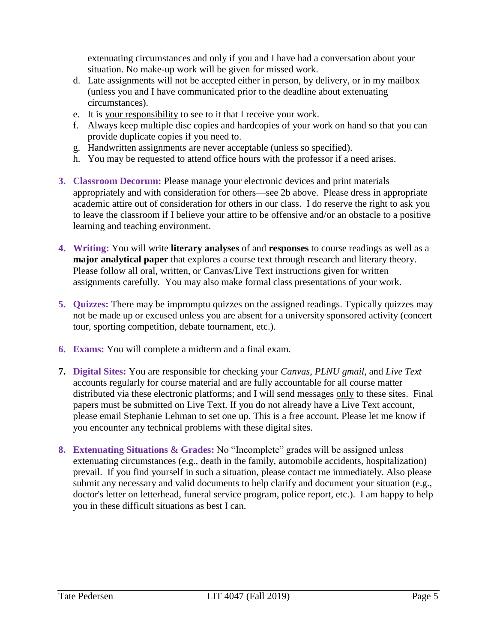extenuating circumstances and only if you and I have had a conversation about your situation. No make-up work will be given for missed work.

- d. Late assignments will not be accepted either in person, by delivery, or in my mailbox (unless you and I have communicated prior to the deadline about extenuating circumstances).
- e. It is your responsibility to see to it that I receive your work.
- f. Always keep multiple disc copies and hardcopies of your work on hand so that you can provide duplicate copies if you need to.
- g. Handwritten assignments are never acceptable (unless so specified).
- h. You may be requested to attend office hours with the professor if a need arises.
- **3. Classroom Decorum:** Please manage your electronic devices and print materials appropriately and with consideration for others—see 2b above. Please dress in appropriate academic attire out of consideration for others in our class. I do reserve the right to ask you to leave the classroom if I believe your attire to be offensive and/or an obstacle to a positive learning and teaching environment**.**
- **4. Writing:** You will write **literary analyses** of and **responses** to course readings as well as a **major analytical paper** that explores a course text through research and literary theory. Please follow all oral, written, or Canvas/Live Text instructions given for written assignments carefully. You may also make formal class presentations of your work.
- **5. Quizzes:** There may be impromptu quizzes on the assigned readings. Typically quizzes may not be made up or excused unless you are absent for a university sponsored activity (concert tour, sporting competition, debate tournament, etc.).
- **6. Exams:** You will complete a midterm and a final exam.
- **7. Digital Sites:** You are responsible for checking your *Canvas*, *PLNU gmail*, and *Live Text* accounts regularly for course material and are fully accountable for all course matter distributed via these electronic platforms; and I will send messages only to these sites. Final papers must be submitted on Live Text. If you do not already have a Live Text account, please email Stephanie Lehman to set one up. This is a free account. Please let me know if you encounter any technical problems with these digital sites.
- **8. Extenuating Situations & Grades:** No "Incomplete" grades will be assigned unless extenuating circumstances (e.g., death in the family, automobile accidents, hospitalization) prevail. If you find yourself in such a situation, please contact me immediately. Also please submit any necessary and valid documents to help clarify and document your situation (e.g., doctor's letter on letterhead, funeral service program, police report, etc.). I am happy to help you in these difficult situations as best I can.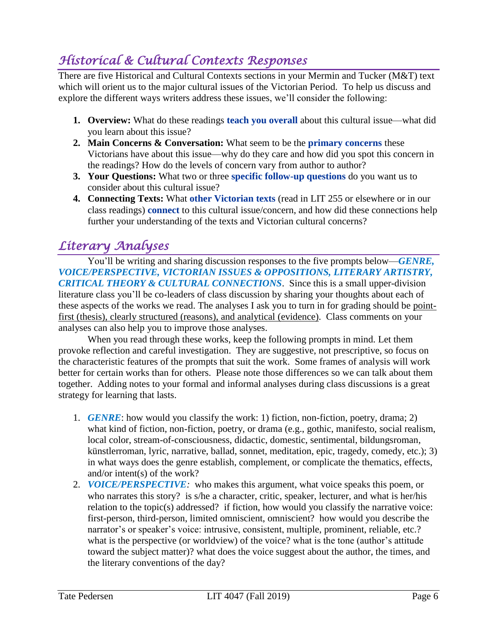# *Historical & Cultural Contexts Responses*

There are five Historical and Cultural Contexts sections in your Mermin and Tucker (M&T) text which will orient us to the major cultural issues of the Victorian Period. To help us discuss and explore the different ways writers address these issues, we'll consider the following:

- **1. Overview:** What do these readings **teach you overall** about this cultural issue—what did you learn about this issue?
- **2. Main Concerns & Conversation:** What seem to be the **primary concerns** these Victorians have about this issue—why do they care and how did you spot this concern in the readings? How do the levels of concern vary from author to author?
- **3. Your Questions:** What two or three **specific follow-up questions** do you want us to consider about this cultural issue?
- **4. Connecting Texts:** What **other Victorian texts** (read in LIT 255 or elsewhere or in our class readings) **connect** to this cultural issue/concern, and how did these connections help further your understanding of the texts and Victorian cultural concerns?

# *Literary Analyses*

You'll be writing and sharing discussion responses to the five prompts below—*GENRE, VOICE/PERSPECTIVE, VICTORIAN ISSUES & OPPOSITIONS, LITERARY ARTISTRY, CRITICAL THEORY & CULTURAL CONNECTIONS*. Since this is a small upper-division literature class you'll be co-leaders of class discussion by sharing your thoughts about each of these aspects of the works we read. The analyses I ask you to turn in for grading should be pointfirst (thesis), clearly structured (reasons), and analytical (evidence). Class comments on your analyses can also help you to improve those analyses.

When you read through these works, keep the following prompts in mind. Let them provoke reflection and careful investigation. They are suggestive, not prescriptive, so focus on the characteristic features of the prompts that suit the work. Some frames of analysis will work better for certain works than for others. Please note those differences so we can talk about them together. Adding notes to your formal and informal analyses during class discussions is a great strategy for learning that lasts.

- 1. *GENRE*: how would you classify the work: 1) fiction, non-fiction, poetry, drama; 2) what kind of fiction, non-fiction, poetry, or drama (e.g., gothic, manifesto, social realism, local color, stream-of-consciousness, didactic, domestic, sentimental, bildungsroman, künstlerroman, lyric, narrative, ballad, sonnet, meditation, epic, tragedy, comedy, etc.); 3) in what ways does the genre establish, complement, or complicate the thematics, effects, and/or intent(s) of the work?
- 2. *VOICE/PERSPECTIVE:* who makes this argument, what voice speaks this poem, or who narrates this story? is s/he a character, critic, speaker, lecturer, and what is her/his relation to the topic(s) addressed? if fiction, how would you classify the narrative voice: first-person, third-person, limited omniscient, omniscient? how would you describe the narrator's or speaker's voice: intrusive, consistent, multiple, prominent, reliable, etc.? what is the perspective (or worldview) of the voice? what is the tone (author's attitude toward the subject matter)? what does the voice suggest about the author, the times, and the literary conventions of the day?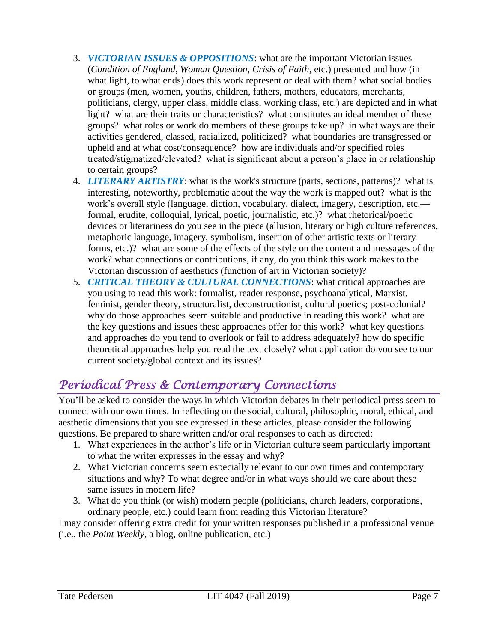- 3. *VICTORIAN ISSUES & OPPOSITIONS*: what are the important Victorian issues (*Condition of England, Woman Question, Crisis of Faith*, etc.) presented and how (in what light, to what ends) does this work represent or deal with them? what social bodies or groups (men, women, youths, children, fathers, mothers, educators, merchants, politicians, clergy, upper class, middle class, working class, etc.) are depicted and in what light? what are their traits or characteristics? what constitutes an ideal member of these groups? what roles or work do members of these groups take up? in what ways are their activities gendered, classed, racialized, politicized? what boundaries are transgressed or upheld and at what cost/consequence? how are individuals and/or specified roles treated/stigmatized/elevated? what is significant about a person's place in or relationship to certain groups?
- 4. *LITERARY ARTISTRY*: what is the work's structure (parts, sections, patterns)? what is interesting, noteworthy, problematic about the way the work is mapped out? what is the work's overall style (language, diction, vocabulary, dialect, imagery, description, etc. formal, erudite, colloquial, lyrical, poetic, journalistic, etc.)? what rhetorical/poetic devices or literariness do you see in the piece (allusion, literary or high culture references, metaphoric language, imagery, symbolism, insertion of other artistic texts or literary forms, etc.)? what are some of the effects of the style on the content and messages of the work? what connections or contributions, if any, do you think this work makes to the Victorian discussion of aesthetics (function of art in Victorian society)?
- 5. *CRITICAL THEORY & CULTURAL CONNECTIONS*: what critical approaches are you using to read this work: formalist, reader response, psychoanalytical, Marxist, feminist, gender theory, structuralist, deconstructionist, cultural poetics; post-colonial? why do those approaches seem suitable and productive in reading this work? what are the key questions and issues these approaches offer for this work? what key questions and approaches do you tend to overlook or fail to address adequately? how do specific theoretical approaches help you read the text closely? what application do you see to our current society/global context and its issues?

# *Periodical Press & Contemporary Connections*

You'll be asked to consider the ways in which Victorian debates in their periodical press seem to connect with our own times. In reflecting on the social, cultural, philosophic, moral, ethical, and aesthetic dimensions that you see expressed in these articles, please consider the following questions. Be prepared to share written and/or oral responses to each as directed:

- 1. What experiences in the author's life or in Victorian culture seem particularly important to what the writer expresses in the essay and why?
- 2. What Victorian concerns seem especially relevant to our own times and contemporary situations and why? To what degree and/or in what ways should we care about these same issues in modern life?
- 3. What do you think (or wish) modern people (politicians, church leaders, corporations, ordinary people, etc.) could learn from reading this Victorian literature?

I may consider offering extra credit for your written responses published in a professional venue (i.e., the *Point Weekly*, a blog, online publication, etc.)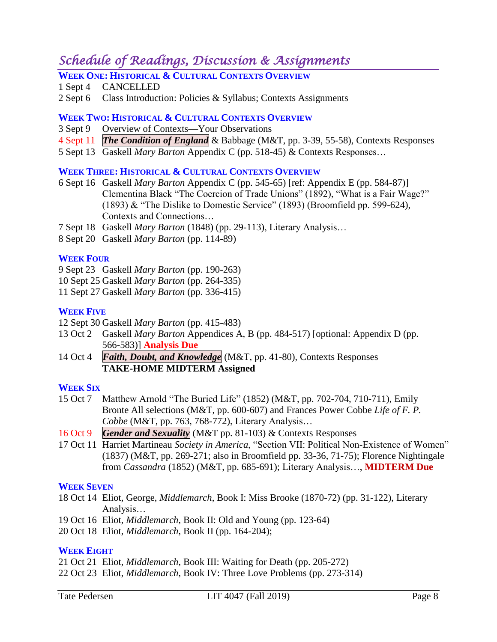# *Schedule of Readings, Discussion & Assignments*

- **WEEK ONE: HISTORICAL & CULTURAL CONTEXTS OVERVIEW**
- 1 Sept 4 CANCELLED
- 2 Sept 6 Class Introduction: Policies & Syllabus; Contexts Assignments

## **WEEK TWO: HISTORICAL & CULTURAL CONTEXTS OVERVIEW**

- 3 Sept 9 Overview of Contexts—Your Observations
- 4 Sept 11 *The Condition of England* & Babbage (M&T, pp. 3-39, 55-58), Contexts Responses
- 5 Sept 13 Gaskell *Mary Barton* Appendix C (pp. 518-45) & Contexts Responses…

### **WEEK THREE: HISTORICAL & CULTURAL CONTEXTS OVERVIEW**

- 6 Sept 16 Gaskell *Mary Barton* Appendix C (pp. 545-65) [ref: Appendix E (pp. 584-87)] Clementina Black "The Coercion of Trade Unions" (1892), "What is a Fair Wage?" (1893) & "The Dislike to Domestic Service" (1893) (Broomfield pp. 599-624), Contexts and Connections…
- 7 Sept 18 Gaskell *Mary Barton* (1848) (pp. 29-113), Literary Analysis…
- 8 Sept 20 Gaskell *Mary Barton* (pp. 114-89)

## **WEEK FOUR**

- 9 Sept 23 Gaskell *Mary Barton* (pp. 190-263)
- 10 Sept 25 Gaskell *Mary Barton* (pp. 264-335)
- 11 Sept 27 Gaskell *Mary Barton* (pp. 336-415)

### **WEEK FIVE**

- 12 Sept 30 Gaskell *Mary Barton* (pp. 415-483)
- 13 Oct 2 Gaskell *Mary Barton* Appendices A, B (pp. 484-517) [optional: Appendix D (pp. 566-583)] **Analysis Due**
- 14 Oct 4 *Faith, Doubt, and Knowledge* (M&T, pp. 41-80), Contexts Responses **TAKE-HOME MIDTERM Assigned**

### **WEEK SIX**

- 15 Oct 7 Matthew Arnold "The Buried Life" (1852) (M&T, pp. 702-704, 710-711), Emily Bronte All selections (M&T, pp. 600-607) and Frances Power Cobbe *Life of F. P. Cobbe* (M&T, pp. 763, 768-772), Literary Analysis…
- 16 Oct 9 *Gender and Sexuality* (M&T pp. 81-103) & Contexts Responses
- 17 Oct 11 Harriet Martineau *Society in America*, "Section VII: Political Non-Existence of Women" (1837) (M&T, pp. 269-271; also in Broomfield pp. 33-36, 71-75); Florence Nightingale from *Cassandra* (1852) (M&T, pp. 685-691); Literary Analysis…, **MIDTERM Due**

### **WEEK SEVEN**

- 18 Oct 14 Eliot, George, *Middlemarch*, Book I: Miss Brooke (1870-72) (pp. 31-122), Literary Analysis…
- 19 Oct 16 Eliot, *Middlemarch*, Book II: Old and Young (pp. 123-64)
- 20 Oct 18 Eliot, *Middlemarch*, Book II (pp. 164-204);

## **WEEK EIGHT**

- 21 Oct 21 Eliot, *Middlemarch*, Book III: Waiting for Death (pp. 205-272)
- 22 Oct 23 Eliot, *Middlemarch*, Book IV: Three Love Problems (pp. 273-314)